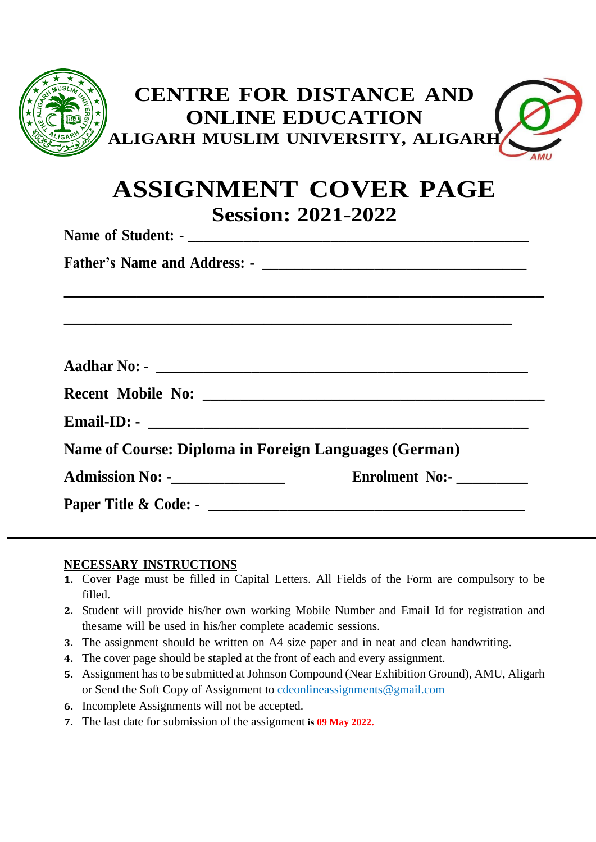| <b>CENTRE FOR DISTANCE AND</b><br><b>ONLINE EDUCATION</b><br>ALIGARH MUSLIM UNIVERSITY, ALIGARH<br>AML |
|--------------------------------------------------------------------------------------------------------|
| <b>ASSIGNMENT COVER PAGE</b><br><b>Session: 2021-2022</b>                                              |
|                                                                                                        |
|                                                                                                        |
|                                                                                                        |
|                                                                                                        |
|                                                                                                        |
|                                                                                                        |
| <b>Name of Course: Diploma in Foreign Languages (German)</b>                                           |
| <b>Admission No: -________________</b><br>Enrolment No:-                                               |
|                                                                                                        |

## **NECESSARY INSTRUCTIONS**

- **1.** Cover Page must be filled in Capital Letters. All Fields of the Form are compulsory to be filled.
- **2.** Student will provide his/her own working Mobile Number and Email Id for registration and thesame will be used in his/her complete academic sessions.
- **3.** The assignment should be written on A4 size paper and in neat and clean handwriting.
- **4.** The cover page should be stapled at the front of each and every assignment.
- **5.** Assignment has to be submitted at Johnson Compound (Near Exhibition Ground), AMU, Aligarh or Send the Soft Copy of Assignment to [cdeonlineassignments@gmail.com](mailto:cdeonlineassignments@gmail.com)
- **6.** Incomplete Assignments will not be accepted.
- **7.** The last date for submission of the assignment **is 09 May 2022.**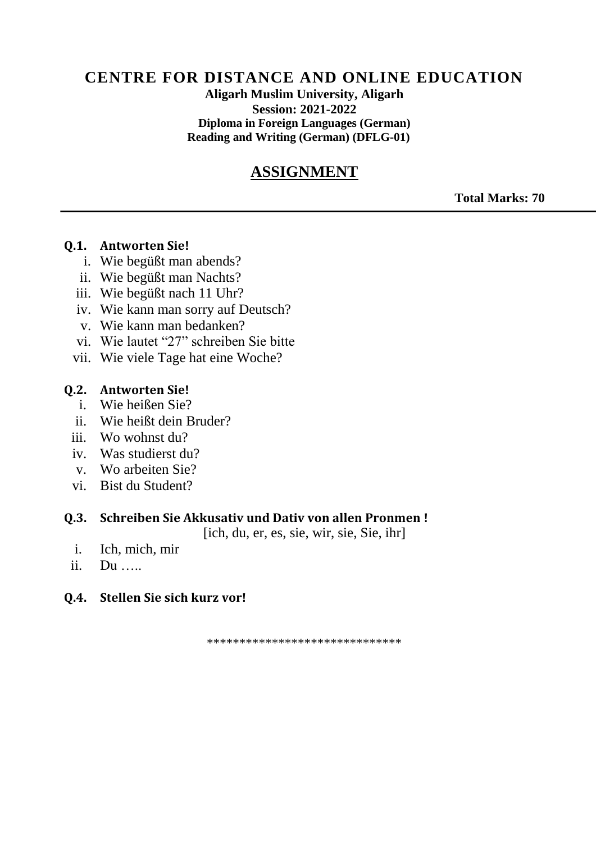## **CENTRE FOR DISTANCE AND ONLINE EDUCATION**

**Aligarh Muslim University, Aligarh Session: 2021-2022 Diploma in Foreign Languages (German) Reading and Writing (German) (DFLG-01)**

# **ASSIGNMENT**

**Total Marks: 70**

#### **Q.1. Antworten Sie!**

- i. Wie begüßt man abends?
- ii. Wie begüßt man Nachts?
- iii. Wie begüßt nach 11 Uhr?
- iv. Wie kann man sorry auf Deutsch?
- v. Wie kann man bedanken?
- vi. Wie lautet "27" schreiben Sie bitte
- vii. Wie viele Tage hat eine Woche?

### **Q.2. Antworten Sie!**

- i. Wie heißen Sie?
- ii. Wie heißt dein Bruder?
- iii. Wo wohnst du?
- iv. Was studierst du?
- v. Wo arbeiten Sie?
- vi. Bist du Student?

### **Q.3. Schreiben Sie Akkusativ und Dativ von allen Pronmen !**

[ich, du, er, es, sie, wir, sie, Sie, ihr]

- i. Ich, mich, mir
- ii. Du …..

### **Q.4. Stellen Sie sich kurz vor!**

\*\*\*\*\*\*\*\*\*\*\*\*\*\*\*\*\*\*\*\*\*\*\*\*\*\*\*\*\*\*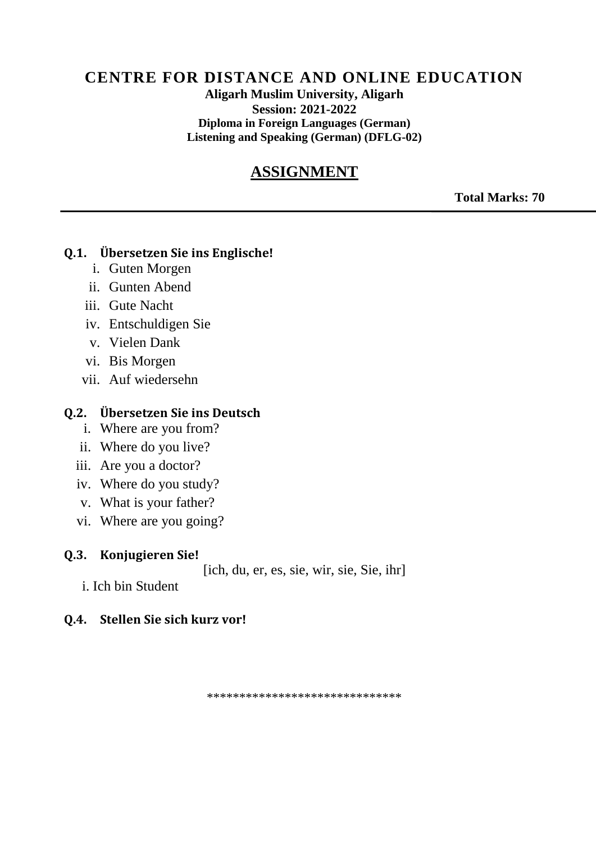# **CENTRE FOR DISTANCE AND ONLINE EDUCATION**

**Aligarh Muslim University, Aligarh Session: 2021-2022 Diploma in Foreign Languages (German) Listening and Speaking (German) (DFLG-02)**

# **ASSIGNMENT**

**Total Marks: 70**

#### **Q.1. Übersetzen Sie ins Englische!**

- i. Guten Morgen
- ii. Gunten Abend
- iii. Gute Nacht
- iv. Entschuldigen Sie
- v. Vielen Dank
- vi. Bis Morgen
- vii. Auf wiedersehn

### **Q.2. Übersetzen Sie ins Deutsch**

- i. Where are you from?
- ii. Where do you live?
- iii. Are you a doctor?
- iv. Where do you study?
- v. What is your father?
- vi. Where are you going?

#### **Q.3. Konjugieren Sie!**

[ich, du, er, es, sie, wir, sie, Sie, ihr]

i. Ich bin Student

### **Q.4. Stellen Sie sich kurz vor!**

\*\*\*\*\*\*\*\*\*\*\*\*\*\*\*\*\*\*\*\*\*\*\*\*\*\*\*\*\*\*